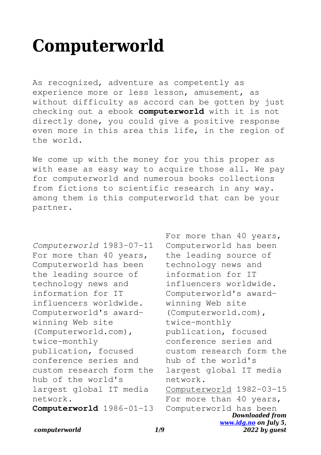## **Computerworld**

As recognized, adventure as competently as experience more or less lesson, amusement, as without difficulty as accord can be gotten by just checking out a ebook **computerworld** with it is not directly done, you could give a positive response even more in this area this life, in the region of the world.

We come up with the money for you this proper as with ease as easy way to acquire those all. We pay for computerworld and numerous books collections from fictions to scientific research in any way. among them is this computerworld that can be your partner.

*Computerworld* 1983-07-11 For more than 40 years, Computerworld has been the leading source of technology news and information for IT influencers worldwide. Computerworld's awardwinning Web site (Computerworld.com), twice-monthly publication, focused conference series and custom research form the hub of the world's largest global IT media network. **Computerworld** 1986-01-13

*Downloaded from [www.idg.no](http://www.idg.no) on July 5,* For more than 40 years, Computerworld has been the leading source of technology news and information for IT influencers worldwide. Computerworld's awardwinning Web site (Computerworld.com), twice-monthly publication, focused conference series and custom research form the hub of the world's largest global IT media network. Computerworld 1982-03-15 For more than 40 years, Computerworld has been

*2022 by guest*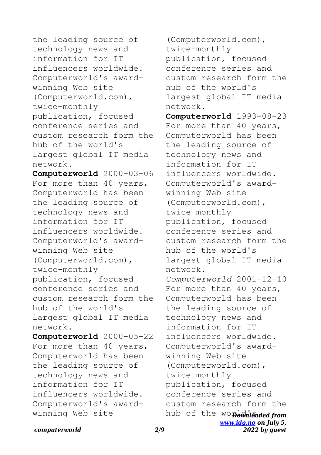the leading source of technology news and information for IT influencers worldwide. Computerworld's awardwinning Web site (Computerworld.com), twice-monthly publication, focused conference series and custom research form the hub of the world's largest global IT media network.

**Computerworld** 2000-03-06 For more than 40 years, Computerworld has been the leading source of technology news and information for IT influencers worldwide. Computerworld's awardwinning Web site (Computerworld.com), twice-monthly publication, focused conference series and custom research form the hub of the world's largest global IT media network.

**Computerworld** 2000-05-22 For more than 40 years, Computerworld has been the leading source of technology news and information for IT influencers worldwide. Computerworld's awardwinning Web site

hub of the wopownloaded from *[www.idg.no](http://www.idg.no) on July 5,* (Computerworld.com), twice-monthly publication, focused conference series and custom research form the hub of the world's largest global IT media network. **Computerworld** 1993-08-23 For more than 40 years, Computerworld has been the leading source of technology news and information for IT influencers worldwide. Computerworld's awardwinning Web site (Computerworld.com), twice-monthly publication, focused conference series and custom research form the hub of the world's largest global IT media network. *Computerworld* 2001-12-10 For more than 40 years, Computerworld has been the leading source of technology news and information for IT influencers worldwide. Computerworld's awardwinning Web site (Computerworld.com), twice-monthly publication, focused conference series and custom research form the

*2022 by guest*

*computerworld 2/9*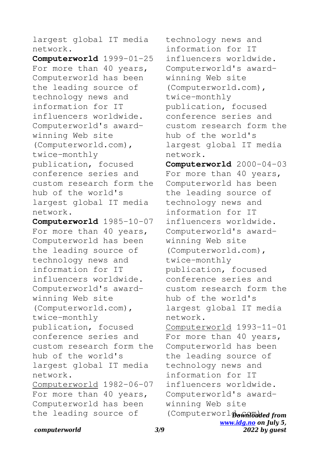largest global IT media network.

**Computerworld** 1999-01-25 For more than 40 years, Computerworld has been the leading source of technology news and information for IT influencers worldwide. Computerworld's awardwinning Web site (Computerworld.com), twice-monthly publication, focused conference series and custom research form the hub of the world's largest global IT media network.

**Computerworld** 1985-10-07 For more than 40 years, Computerworld has been the leading source of technology news and information for IT influencers worldwide. Computerworld's awardwinning Web site (Computerworld.com), twice-monthly publication, focused conference series and custom research form the hub of the world's largest global IT media network. Computerworld 1982-06-07 For more than 40 years, Computerworld has been the leading source of

technology news and information for IT influencers worldwide. Computerworld's awardwinning Web site (Computerworld.com), twice-monthly publication, focused conference series and custom research form the hub of the world's largest global IT media network.

(Computerworl **Downloaded from** *[www.idg.no](http://www.idg.no) on July 5, 2022 by guest* **Computerworld** 2000-04-03 For more than 40 years, Computerworld has been the leading source of technology news and information for IT influencers worldwide. Computerworld's awardwinning Web site (Computerworld.com), twice-monthly publication, focused conference series and custom research form the hub of the world's largest global IT media network. Computerworld 1993-11-01 For more than 40 years, Computerworld has been the leading source of technology news and information for IT influencers worldwide. Computerworld's awardwinning Web site

## *computerworld 3/9*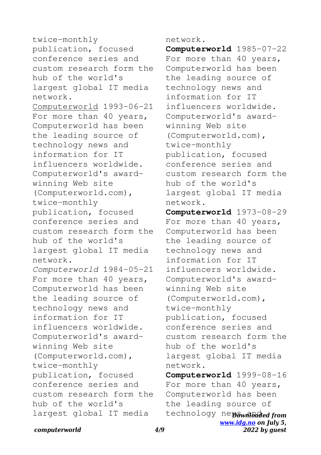twice-monthly publication, focused conference series and custom research form the hub of the world's largest global IT media network. Computerworld 1993-06-21 For more than 40 years, Computerworld has been the leading source of technology news and information for IT influencers worldwide. Computerworld's awardwinning Web site (Computerworld.com), twice-monthly publication, focused conference series and custom research form the hub of the world's largest global IT media network. *Computerworld* 1984-05-21 For more than 40 years, Computerworld has been the leading source of technology news and information for IT influencers worldwide. Computerworld's awardwinning Web site (Computerworld.com), twice-monthly publication, focused conference series and custom research form the hub of the world's largest global IT media

network.

**Computerworld** 1985-07-22 For more than 40 years, Computerworld has been the leading source of technology news and information for IT influencers worldwide. Computerworld's awardwinning Web site (Computerworld.com), twice-monthly publication, focused conference series and custom research form the hub of the world's largest global IT media network. **Computerworld** 1973-08-29

For more than 40 years, Computerworld has been the leading source of technology news and information for IT influencers worldwide. Computerworld's awardwinning Web site (Computerworld.com), twice-monthly publication, focused conference series and custom research form the hub of the world's largest global IT media network.

technology newownloaded from *[www.idg.no](http://www.idg.no) on July 5,* **Computerworld** 1999-08-16 For more than 40 years, Computerworld has been the leading source of

*2022 by guest*

*computerworld 4/9*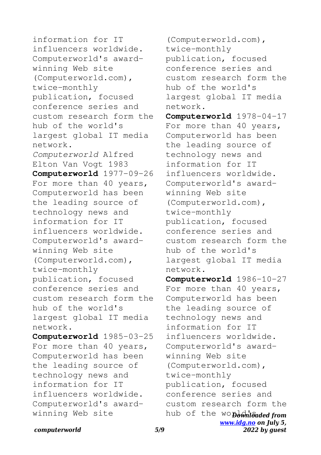information for IT influencers worldwide. Computerworld's awardwinning Web site (Computerworld.com), twice-monthly publication, focused conference series and custom research form the hub of the world's largest global IT media network. *Computerworld* Alfred Elton Van Vogt 1983 **Computerworld** 1977-09-26 For more than 40 years, Computerworld has been the leading source of technology news and information for IT influencers worldwide. Computerworld's awardwinning Web site (Computerworld.com), twice-monthly publication, focused conference series and custom research form the hub of the world's largest global IT media network. **Computerworld** 1985-03-25 For more than 40 years, Computerworld has been the leading source of technology news and

information for IT influencers worldwide. Computerworld's awardwinning Web site

(Computerworld.com), twice-monthly publication, focused conference series and custom research form the hub of the world's largest global IT media network. **Computerworld** 1978-04-17 For more than 40 years, Computerworld has been the leading source of technology news and information for IT influencers worldwide. Computerworld's awardwinning Web site (Computerworld.com), twice-monthly publication, focused conference series and custom research form the

hub of the world's largest global IT media network.

hub of the wopownloaded from *[www.idg.no](http://www.idg.no) on July 5,* **Computerworld** 1986-10-27 For more than 40 years, Computerworld has been the leading source of technology news and information for IT influencers worldwide. Computerworld's awardwinning Web site (Computerworld.com), twice-monthly publication, focused conference series and custom research form the

*2022 by guest*

*computerworld 5/9*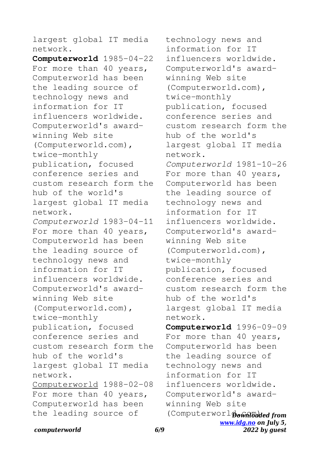largest global IT media network.

**Computerworld** 1985-04-22 For more than 40 years, Computerworld has been the leading source of technology news and information for IT influencers worldwide. Computerworld's awardwinning Web site (Computerworld.com), twice-monthly publication, focused conference series and custom research form the hub of the world's largest global IT media network. *Computerworld* 1983-04-11 For more than 40 years, Computerworld has been the leading source of technology news and information for IT influencers worldwide. Computerworld's awardwinning Web site (Computerworld.com), twice-monthly publication, focused conference series and custom research form the hub of the world's largest global IT media network. Computerworld 1988-02-08 For more than 40 years, Computerworld has been the leading source of

(Computerworl **Downloaded from** *[www.idg.no](http://www.idg.no) on July 5,* technology news and information for IT influencers worldwide. Computerworld's awardwinning Web site (Computerworld.com), twice-monthly publication, focused conference series and custom research form the hub of the world's largest global IT media network. *Computerworld* 1981-10-26 For more than 40 years, Computerworld has been the leading source of technology news and information for IT influencers worldwide. Computerworld's awardwinning Web site (Computerworld.com), twice-monthly publication, focused conference series and custom research form the hub of the world's largest global IT media network. **Computerworld** 1996-09-09 For more than 40 years, Computerworld has been the leading source of technology news and information for IT influencers worldwide. Computerworld's awardwinning Web site

*2022 by guest*

## *computerworld 6/9*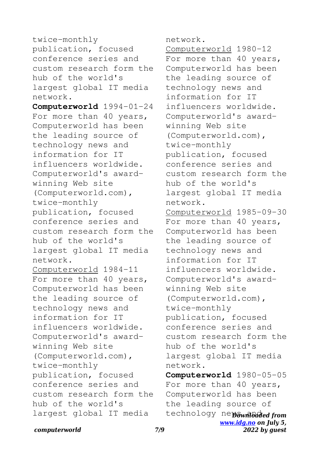twice-monthly publication, focused conference series and custom research form the hub of the world's largest global IT media network. **Computerworld** 1994-01-24 For more than 40 years, Computerworld has been the leading source of technology news and information for IT influencers worldwide. Computerworld's awardwinning Web site (Computerworld.com), twice-monthly publication, focused conference series and custom research form the hub of the world's largest global IT media network. Computerworld 1984-11 For more than 40 years, Computerworld has been the leading source of technology news and information for IT influencers worldwide. Computerworld's awardwinning Web site (Computerworld.com), twice-monthly publication, focused conference series and custom research form the hub of the world's largest global IT media

network.

technology newownloaded from *[www.idg.no](http://www.idg.no) on July 5,* Computerworld 1980-12 For more than 40 years, Computerworld has been the leading source of technology news and information for IT influencers worldwide. Computerworld's awardwinning Web site (Computerworld.com), twice-monthly publication, focused conference series and custom research form the hub of the world's largest global IT media network. Computerworld 1985-09-30 For more than 40 years, Computerworld has been the leading source of technology news and information for IT influencers worldwide. Computerworld's awardwinning Web site (Computerworld.com), twice-monthly publication, focused conference series and custom research form the hub of the world's largest global IT media network. **Computerworld** 1980-05-05 For more than 40 years, Computerworld has been the leading source of

*2022 by guest*

*computerworld 7/9*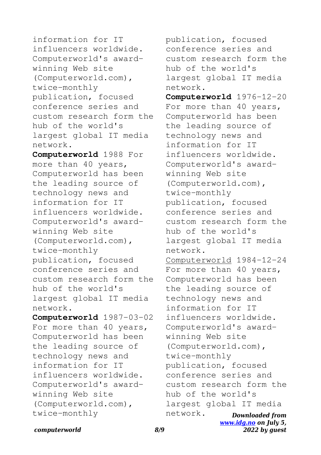information for IT influencers worldwide. Computerworld's awardwinning Web site (Computerworld.com), twice-monthly publication, focused conference series and custom research form the hub of the world's largest global IT media network.

**Computerworld** 1988 For more than 40 years, Computerworld has been the leading source of technology news and information for IT influencers worldwide. Computerworld's awardwinning Web site (Computerworld.com), twice-monthly publication, focused conference series and custom research form the hub of the world's largest global IT media network.

**Computerworld** 1987-03-02 For more than 40 years, Computerworld has been the leading source of technology news and information for IT influencers worldwide. Computerworld's awardwinning Web site (Computerworld.com), twice-monthly

*Downloaded from [www.idg.no](http://www.idg.no) on July 5,* publication, focused conference series and custom research form the hub of the world's largest global IT media network. **Computerworld** 1976-12-20 For more than 40 years, Computerworld has been the leading source of technology news and information for IT influencers worldwide. Computerworld's awardwinning Web site (Computerworld.com), twice-monthly publication, focused conference series and custom research form the hub of the world's largest global IT media network. Computerworld 1984-12-24 For more than 40 years, Computerworld has been the leading source of technology news and information for IT influencers worldwide. Computerworld's awardwinning Web site (Computerworld.com), twice-monthly publication, focused conference series and custom research form the hub of the world's largest global IT media network.

*2022 by guest*

*computerworld 8/9*